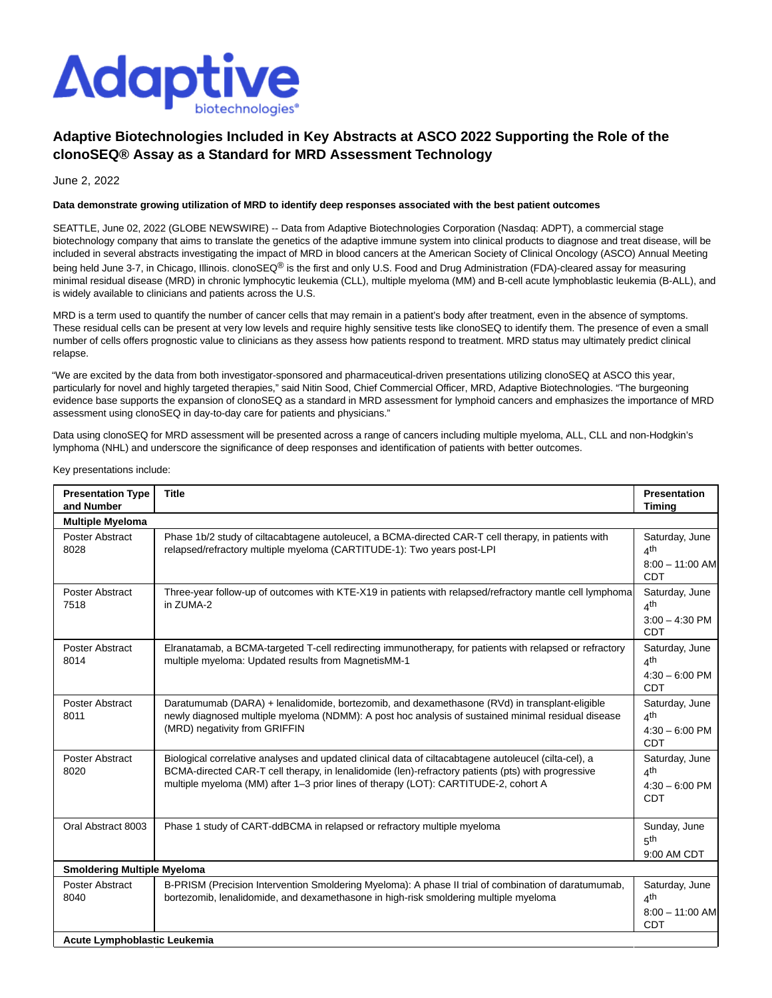

# **Adaptive Biotechnologies Included in Key Abstracts at ASCO 2022 Supporting the Role of the clonoSEQ® Assay as a Standard for MRD Assessment Technology**

June 2, 2022

## **Data demonstrate growing utilization of MRD to identify deep responses associated with the best patient outcomes**

SEATTLE, June 02, 2022 (GLOBE NEWSWIRE) -- Data from Adaptive Biotechnologies Corporation (Nasdaq: ADPT), a commercial stage biotechnology company that aims to translate the genetics of the adaptive immune system into clinical products to diagnose and treat disease, will be included in several abstracts investigating the impact of MRD in blood cancers at the American Society of Clinical Oncology (ASCO) Annual Meeting being held June 3-7, in Chicago, Illinois. clonoSEQ® is the first and only U.S. Food and Drug Administration (FDA)-cleared assay for measuring minimal residual disease (MRD) in chronic lymphocytic leukemia (CLL), multiple myeloma (MM) and B-cell acute lymphoblastic leukemia (B-ALL), and is widely available to clinicians and patients across the U.S.

MRD is a term used to quantify the number of cancer cells that may remain in a patient's body after treatment, even in the absence of symptoms. These residual cells can be present at very low levels and require highly sensitive tests like clonoSEQ to identify them. The presence of even a small number of cells offers prognostic value to clinicians as they assess how patients respond to treatment. MRD status may ultimately predict clinical relapse.

"We are excited by the data from both investigator-sponsored and pharmaceutical-driven presentations utilizing clonoSEQ at ASCO this year, particularly for novel and highly targeted therapies," said Nitin Sood, Chief Commercial Officer, MRD, Adaptive Biotechnologies. "The burgeoning evidence base supports the expansion of clonoSEQ as a standard in MRD assessment for lymphoid cancers and emphasizes the importance of MRD assessment using clonoSEQ in day-to-day care for patients and physicians."

Data using clonoSEQ for MRD assessment will be presented across a range of cancers including multiple myeloma, ALL, CLL and non-Hodgkin's lymphoma (NHL) and underscore the significance of deep responses and identification of patients with better outcomes.

Key presentations include:

| <b>Presentation Type</b><br>and Number | <b>Title</b>                                                                                                                                                                                                                                                                                       | <b>Presentation</b><br><b>Timing</b>                                 |  |
|----------------------------------------|----------------------------------------------------------------------------------------------------------------------------------------------------------------------------------------------------------------------------------------------------------------------------------------------------|----------------------------------------------------------------------|--|
| <b>Multiple Myeloma</b>                |                                                                                                                                                                                                                                                                                                    |                                                                      |  |
| <b>Poster Abstract</b><br>8028         | Phase 1b/2 study of ciltacabtagene autoleucel, a BCMA-directed CAR-T cell therapy, in patients with<br>relapsed/refractory multiple myeloma (CARTITUDE-1): Two years post-LPI                                                                                                                      | Saturday, June<br>4 <sup>th</sup><br>$8:00 - 11:00$ AM<br><b>CDT</b> |  |
| <b>Poster Abstract</b><br>7518         | Three-year follow-up of outcomes with KTE-X19 in patients with relapsed/refractory mantle cell lymphoma<br>in ZUMA-2                                                                                                                                                                               | Saturday, June<br>4 <sup>th</sup><br>$3:00 - 4:30$ PM<br><b>CDT</b>  |  |
| <b>Poster Abstract</b><br>8014         | Elranatamab, a BCMA-targeted T-cell redirecting immunotherapy, for patients with relapsed or refractory<br>multiple myeloma: Updated results from MagnetisMM-1                                                                                                                                     | Saturday, June<br>$\Delta$ th<br>$4:30 - 6:00$ PM<br><b>CDT</b>      |  |
| <b>Poster Abstract</b><br>8011         | Daratumumab (DARA) + lenalidomide, bortezomib, and dexamethasone (RVd) in transplant-eligible<br>newly diagnosed multiple myeloma (NDMM): A post hoc analysis of sustained minimal residual disease<br>(MRD) negativity from GRIFFIN                                                               | Saturday, June<br>4 <sup>th</sup><br>$4:30 - 6:00$ PM<br><b>CDT</b>  |  |
| <b>Poster Abstract</b><br>8020         | Biological correlative analyses and updated clinical data of ciltacabtagene autoleucel (cilta-cel), a<br>BCMA-directed CAR-T cell therapy, in lenalidomide (len)-refractory patients (pts) with progressive<br>multiple myeloma (MM) after 1-3 prior lines of therapy (LOT): CARTITUDE-2, cohort A | Saturday, June<br>$\Delta$ th<br>$4:30 - 6:00$ PM<br><b>CDT</b>      |  |
| Oral Abstract 8003                     | Phase 1 study of CART-ddBCMA in relapsed or refractory multiple myeloma                                                                                                                                                                                                                            | Sunday, June<br><sub>հ</sub> th<br>9:00 AM CDT                       |  |
| <b>Smoldering Multiple Myeloma</b>     |                                                                                                                                                                                                                                                                                                    |                                                                      |  |
| Poster Abstract<br>8040                | B-PRISM (Precision Intervention Smoldering Myeloma): A phase II trial of combination of daratumumab,<br>bortezomib, lenalidomide, and dexamethasone in high-risk smoldering multiple myeloma                                                                                                       | Saturday, June<br>4 <sup>th</sup><br>$8:00 - 11:00$ AM<br><b>CDT</b> |  |
| Acute Lymphoblastic Leukemia           |                                                                                                                                                                                                                                                                                                    |                                                                      |  |